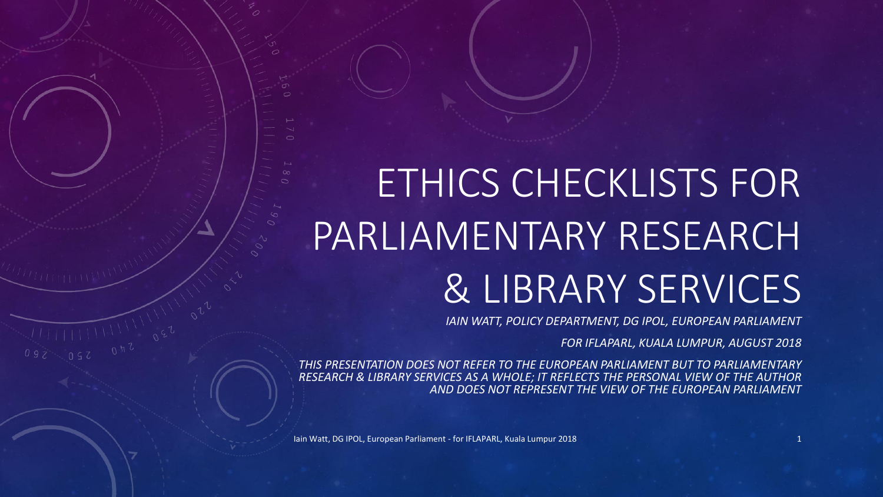# ETHICS CHECKLISTS FOR PARLIAMENTARY RESEARCH & LIBRARY SERVICES

*IAIN WATT, POLICY DEPARTMENT, DG IPOL, EUROPEAN PARLIAMENT*

*FOR IFLAPARL, KUALA LUMPUR, AUGUST 2018*

*THIS PRESENTATION DOES NOT REFER TO THE EUROPEAN PARLIAMENT BUT TO PARLIAMENTARY RESEARCH & LIBRARY SERVICES AS A WHOLE; IT REFLECTS THE PERSONAL VIEW OF THE AUTHOR AND DOES NOT REPRESENT THE VIEW OF THE EUROPEAN PARLIAMENT*

Iain Watt, DG IPOL, European Parliament - for IFLAPARL, Kuala Lumpur 2018 1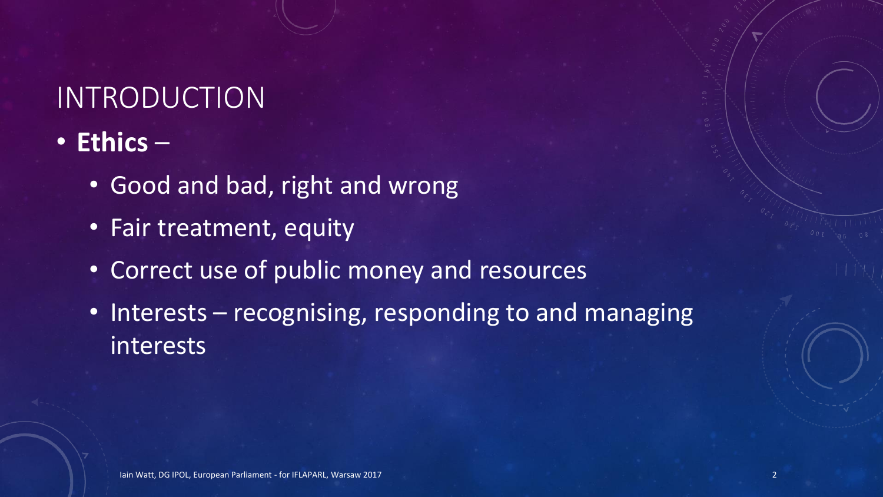# INTRODUCTION

- **Ethics**
	- Good and bad, right and wrong
	- Fair treatment, equity
	- Correct use of public money and resources
	- Interests recognising, responding to and managing interests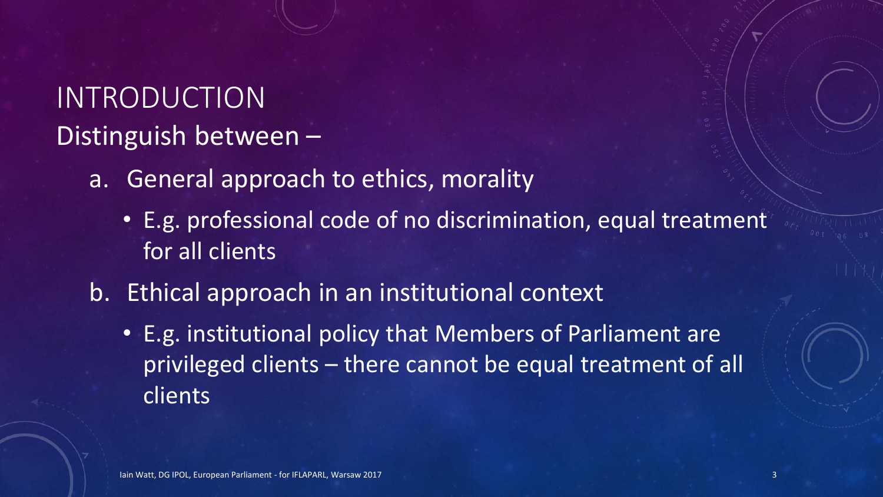# INTRODUCTION Distinguish between –

- a. General approach to ethics, morality
	- E.g. professional code of no discrimination, equal treatment for all clients
- b. Ethical approach in an institutional context
	- E.g. institutional policy that Members of Parliament are privileged clients – there cannot be equal treatment of all clients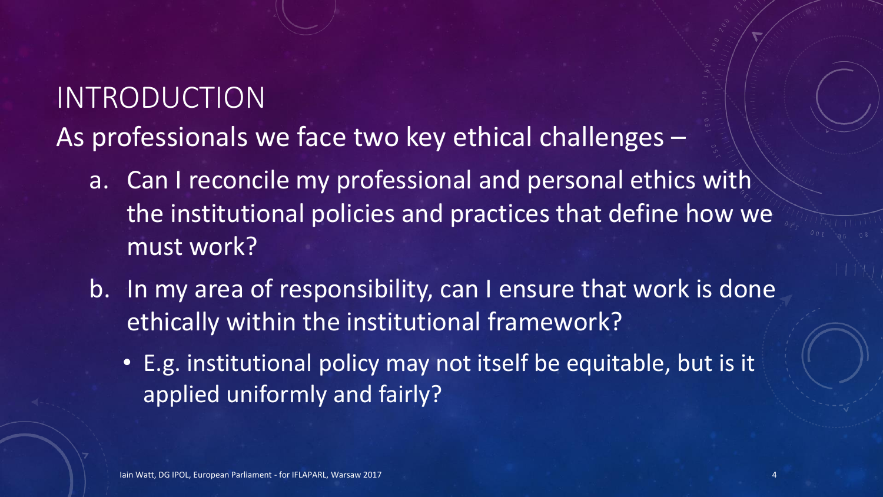# INTRODUCTION As professionals we face two key ethical challenges –

- a. Can I reconcile my professional and personal ethics with the institutional policies and practices that define how we must work?
- b. In my area of responsibility, can I ensure that work is done ethically within the institutional framework?
	- E.g. institutional policy may not itself be equitable, but is it applied uniformly and fairly?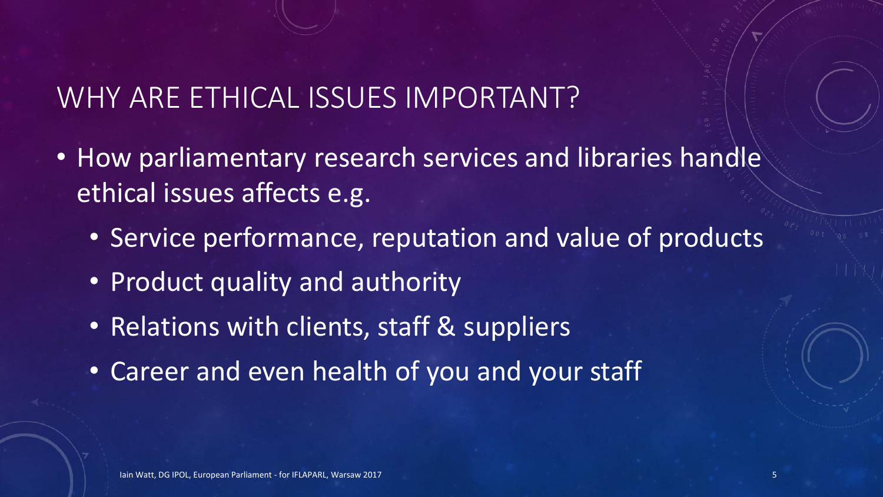### WHY ARE ETHICAL ISSUES IMPORTANT?

- How parliamentary research services and libraries handle ethical issues affects e.g.
	- Service performance, reputation and value of products
	- Product quality and authority
	- Relations with clients, staff & suppliers
	- Career and even health of you and your staff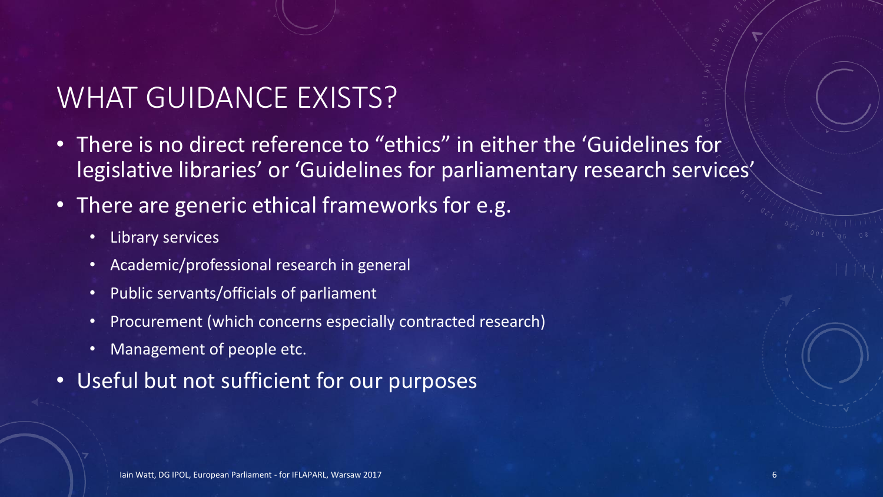# WHAT GUIDANCE EXISTS?

- There is no direct reference to "ethics" in either the 'Guidelines for legislative libraries' or 'Guidelines for parliamentary research services'
- There are generic ethical frameworks for e.g.
	- Library services
	- Academic/professional research in general
	- Public servants/officials of parliament
	- Procurement (which concerns especially contracted research)
	- Management of people etc.
- Useful but not sufficient for our purposes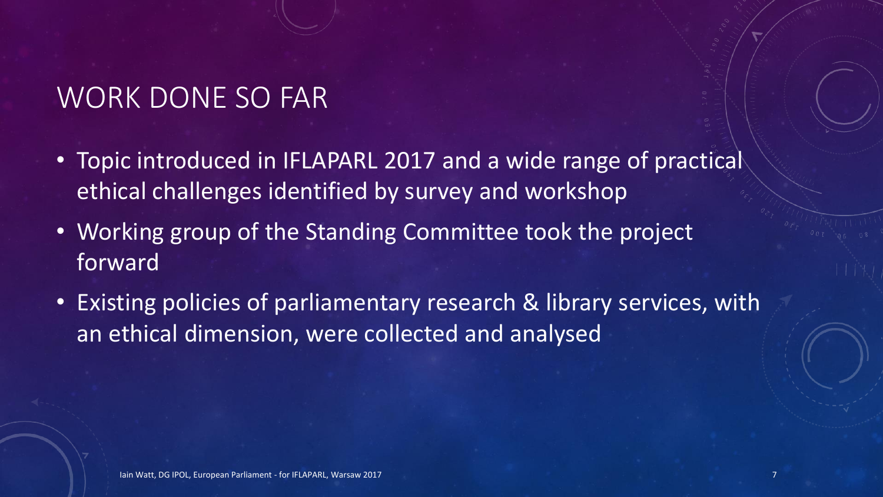#### WORK DONE SO FAR

- Topic introduced in IFLAPARL 2017 and a wide range of practical ethical challenges identified by survey and workshop
- Working group of the Standing Committee took the project forward
- Existing policies of parliamentary research & library services, with an ethical dimension, were collected and analysed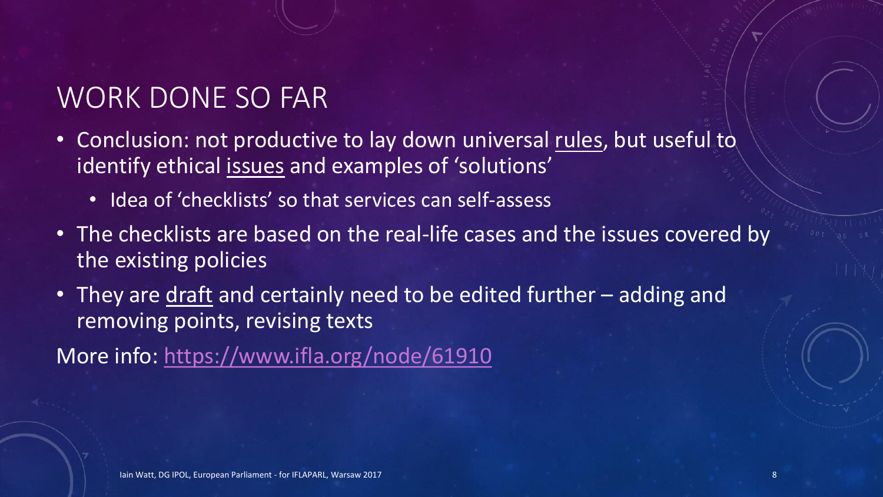# WORK DONE SO FAR

- Conclusion: not productive to lay down universal rules, but useful to identify ethical issues and examples of 'solutions'
	- Idea of 'checklists' so that services can self-assess
- The checklists are based on the real-life cases and the issues covered by the existing policies
- They are draft and certainly need to be edited further adding and removing points, revising texts

More info:<https://www.ifla.org/node/61910>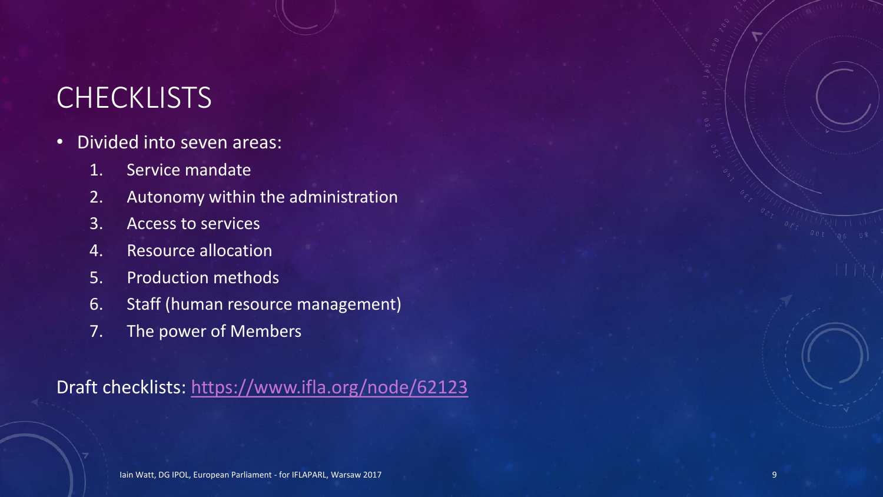#### **CHECKLISTS**

- Divided into seven areas:
	- 1. Service mandate
	- 2. Autonomy within the administration
	- 3. Access to services
	- 4. Resource allocation
	- 5. Production methods
	- 6. Staff (human resource management)
	- 7. The power of Members

Draft checklists: <https://www.ifla.org/node/62123>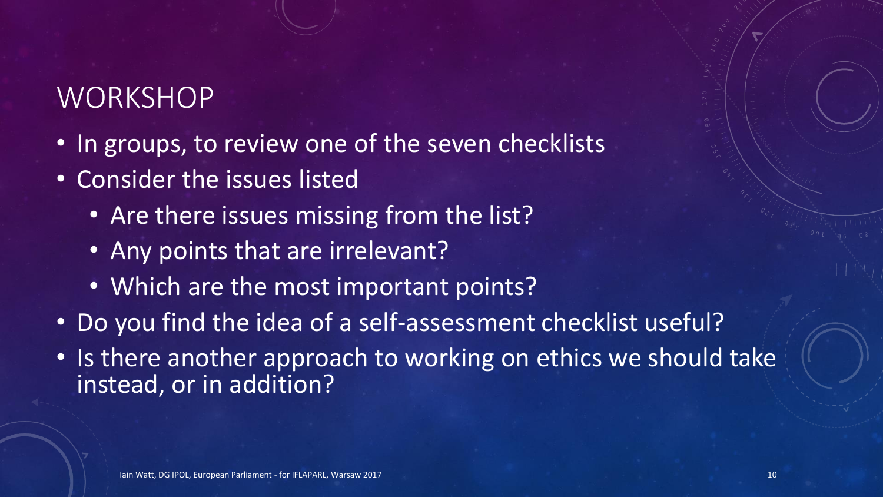#### **WORKSHOP**

- In groups, to review one of the seven checklists
- Consider the issues listed
	- Are there issues missing from the list?
	- Any points that are irrelevant?
	- Which are the most important points?
- Do you find the idea of a self-assessment checklist useful?
- Is there another approach to working on ethics we should take instead, or in addition?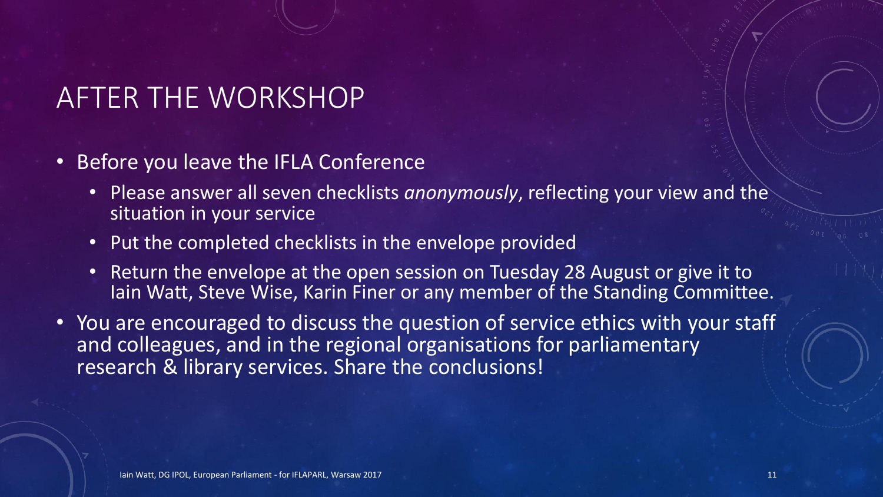#### AFTER THE WORKSHOP

- Before you leave the IFLA Conference
	- Please answer all seven checklists *anonymously*, reflecting your view and the situation in your service
	- Put the completed checklists in the envelope provided
	- Return the envelope at the open session on Tuesday 28 August or give it to Iain Watt, Steve Wise, Karin Finer or any member of the Standing Committee.
- You are encouraged to discuss the question of service ethics with your staff and colleagues, and in the regional organisations for parliamentary research & library services. Share the conclusions!